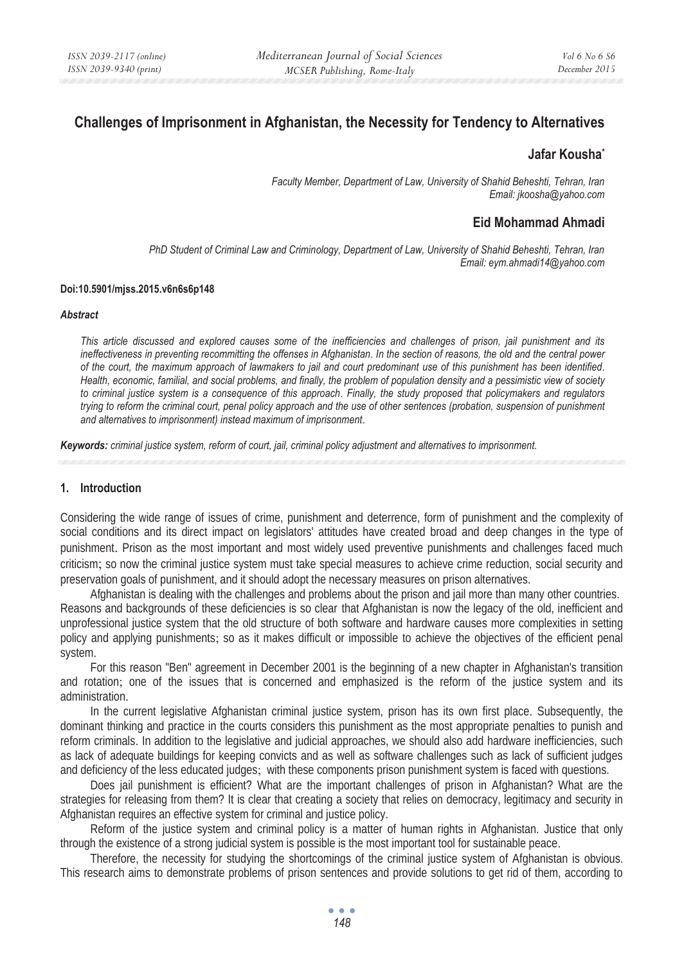# **Challenges of Imprisonment in Afghanistan, the Necessity for Tendency to Alternatives**

## **Jafar Kousha\***

*Faculty Member, Department of Law, University of Shahid Beheshti, Tehran, Iran Email: jkoosha@yahoo.com* 

# **Eid Mohammad Ahmadi**

*PhD Student of Criminal Law and Criminology, Department of Law, University of Shahid Beheshti, Tehran, Iran Email: eym.ahmadi14@yahoo.com* 

#### **Doi:10.5901/mjss.2015.v6n6s6p148**

#### *Abstract*

*This article discussed and explored causes some of the inefficiencies and challenges of prison, jail punishment and its*  ineffectiveness in preventing recommitting the offenses in Afghanistan. In the section of reasons, the old and the central power *of the court, the maximum approach of lawmakers to jail and court predominant use of this punishment has been identified*. *Health, economic, familial, and social problems, and finally, the problem of population density and a pessimistic view of society to criminal justice system is a consequence of this approach*. *Finally, the study proposed that policymakers and regulators trying to reform the criminal court, penal policy approach and the use of other sentences (probation, suspension of punishment and alternatives to imprisonment) instead maximum of imprisonment*.

*Keywords: criminal justice system, reform of court, jail, criminal policy adjustment and alternatives to imprisonment.* 

#### **1. Introduction**

Considering the wide range of issues of crime, punishment and deterrence, form of punishment and the complexity of social conditions and its direct impact on legislators' attitudes have created broad and deep changes in the type of punishment. Prison as the most important and most widely used preventive punishments and challenges faced much criticism; so now the criminal justice system must take special measures to achieve crime reduction, social security and preservation goals of punishment, and it should adopt the necessary measures on prison alternatives.

Afghanistan is dealing with the challenges and problems about the prison and jail more than many other countries. Reasons and backgrounds of these deficiencies is so clear that Afghanistan is now the legacy of the old, inefficient and unprofessional justice system that the old structure of both software and hardware causes more complexities in setting policy and applying punishments; so as it makes difficult or impossible to achieve the objectives of the efficient penal system.

For this reason "Ben" agreement in December 2001 is the beginning of a new chapter in Afghanistan's transition and rotation; one of the issues that is concerned and emphasized is the reform of the justice system and its administration.

In the current legislative Afghanistan criminal justice system, prison has its own first place. Subsequently, the dominant thinking and practice in the courts considers this punishment as the most appropriate penalties to punish and reform criminals. In addition to the legislative and judicial approaches, we should also add hardware inefficiencies, such as lack of adequate buildings for keeping convicts and as well as software challenges such as lack of sufficient judges and deficiency of the less educated judges; with these components prison punishment system is faced with questions.

Does jail punishment is efficient? What are the important challenges of prison in Afghanistan? What are the strategies for releasing from them? It is clear that creating a society that relies on democracy, legitimacy and security in Afghanistan requires an effective system for criminal and justice policy.

Reform of the justice system and criminal policy is a matter of human rights in Afghanistan. Justice that only through the existence of a strong judicial system is possible is the most important tool for sustainable peace.

Therefore, the necessity for studying the shortcomings of the criminal justice system of Afghanistan is obvious. This research aims to demonstrate problems of prison sentences and provide solutions to get rid of them, according to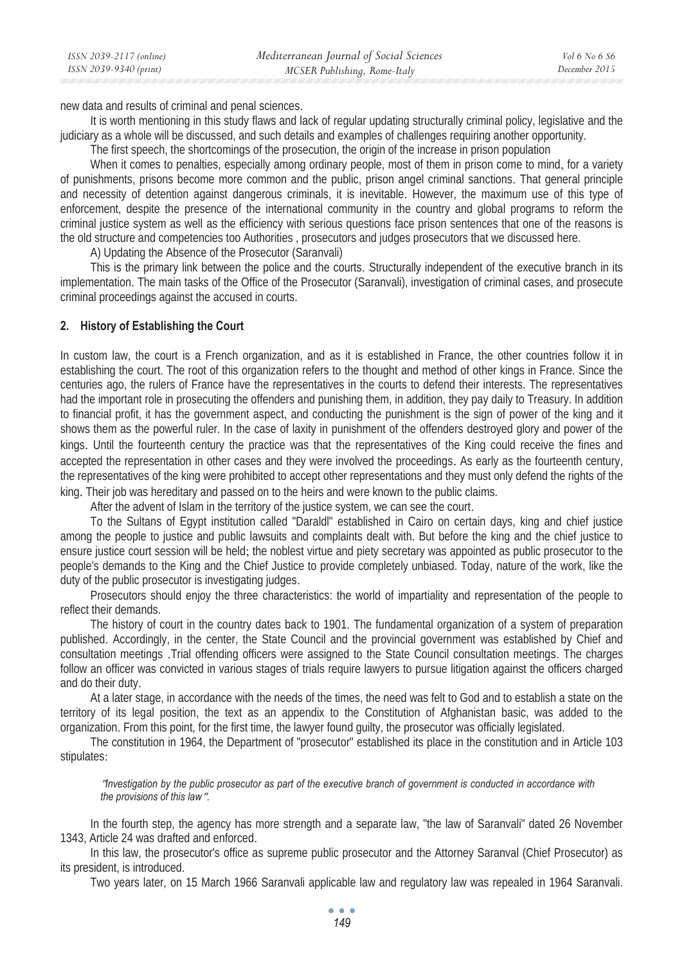new data and results of criminal and penal sciences.

It is worth mentioning in this study flaws and lack of regular updating structurally criminal policy, legislative and the judiciary as a whole will be discussed, and such details and examples of challenges requiring another opportunity.

The first speech, the shortcomings of the prosecution, the origin of the increase in prison population

When it comes to penalties, especially among ordinary people, most of them in prison come to mind, for a variety of punishments, prisons become more common and the public, prison angel criminal sanctions. That general principle and necessity of detention against dangerous criminals, it is inevitable. However, the maximum use of this type of enforcement, despite the presence of the international community in the country and global programs to reform the criminal justice system as well as the efficiency with serious questions face prison sentences that one of the reasons is the old structure and competencies too Authorities , prosecutors and judges prosecutors that we discussed here.

A) Updating the Absence of the Prosecutor (Saranvali)

This is the primary link between the police and the courts. Structurally independent of the executive branch in its implementation. The main tasks of the Office of the Prosecutor (Saranvali), investigation of criminal cases, and prosecute criminal proceedings against the accused in courts.

### **2. History of Establishing the Court**

In custom law, the court is a French organization, and as it is established in France, the other countries follow it in establishing the court. The root of this organization refers to the thought and method of other kings in France. Since the centuries ago, the rulers of France have the representatives in the courts to defend their interests. The representatives had the important role in prosecuting the offenders and punishing them, in addition, they pay daily to Treasury. In addition to financial profit, it has the government aspect, and conducting the punishment is the sign of power of the king and it shows them as the powerful ruler. In the case of laxity in punishment of the offenders destroyed glory and power of the kings. Until the fourteenth century the practice was that the representatives of the King could receive the fines and accepted the representation in other cases and they were involved the proceedings. As early as the fourteenth century, the representatives of the king were prohibited to accept other representations and they must only defend the rights of the king. Their job was hereditary and passed on to the heirs and were known to the public claims.

After the advent of Islam in the territory of the justice system, we can see the court.

To the Sultans of Egypt institution called "Daraldl" established in Cairo on certain days, king and chief justice among the people to justice and public lawsuits and complaints dealt with. But before the king and the chief justice to ensure justice court session will be held; the noblest virtue and piety secretary was appointed as public prosecutor to the people's demands to the King and the Chief Justice to provide completely unbiased. Today, nature of the work, like the duty of the public prosecutor is investigating judges.

Prosecutors should enjoy the three characteristics: the world of impartiality and representation of the people to reflect their demands.

The history of court in the country dates back to 1901. The fundamental organization of a system of preparation published. Accordingly, in the center, the State Council and the provincial government was established by Chief and consultation meetings .Trial offending officers were assigned to the State Council consultation meetings. The charges follow an officer was convicted in various stages of trials require lawyers to pursue litigation against the officers charged and do their duty.

At a later stage, in accordance with the needs of the times, the need was felt to God and to establish a state on the territory of its legal position, the text as an appendix to the Constitution of Afghanistan basic, was added to the organization. From this point, for the first time, the lawyer found guilty, the prosecutor was officially legislated.

The constitution in 1964, the Department of "prosecutor" established its place in the constitution and in Article 103 stipulates:

"*Investigation by the public prosecutor as part of the executive branch of government is conducted in accordance with the provisions of this law*".

In the fourth step, the agency has more strength and a separate law, "the law of Saranvali" dated 26 November 1343, Article 24 was drafted and enforced.

In this law, the prosecutor's office as supreme public prosecutor and the Attorney Saranval (Chief Prosecutor) as its president, is introduced.

Two years later, on 15 March 1966 Saranvali applicable law and regulatory law was repealed in 1964 Saranvali.

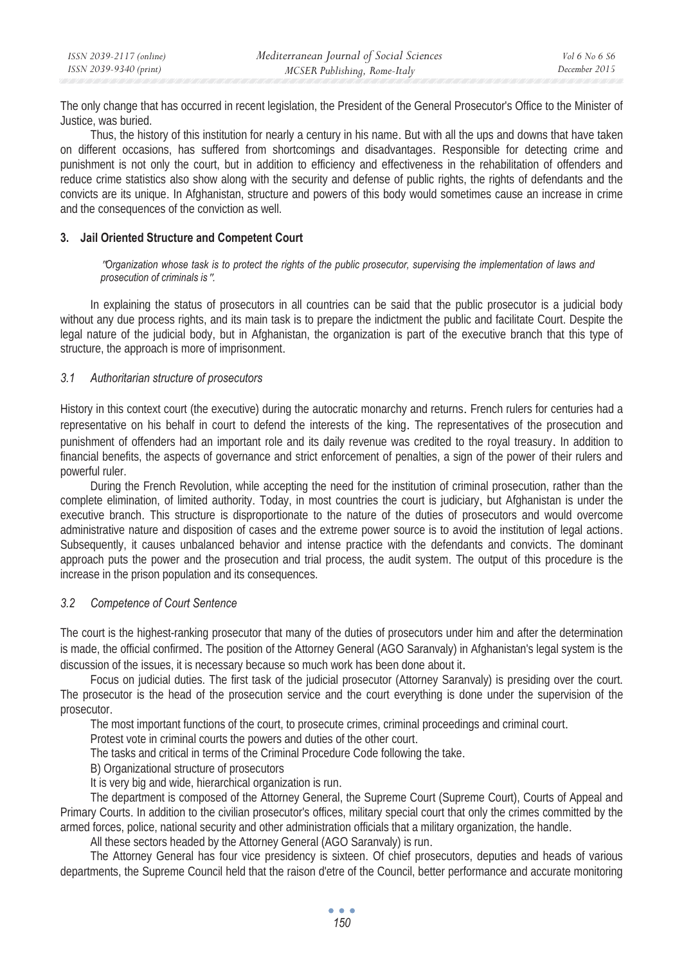The only change that has occurred in recent legislation, the President of the General Prosecutor's Office to the Minister of Justice, was buried.

Thus, the history of this institution for nearly a century in his name. But with all the ups and downs that have taken on different occasions, has suffered from shortcomings and disadvantages. Responsible for detecting crime and punishment is not only the court, but in addition to efficiency and effectiveness in the rehabilitation of offenders and reduce crime statistics also show along with the security and defense of public rights, the rights of defendants and the convicts are its unique. In Afghanistan, structure and powers of this body would sometimes cause an increase in crime and the consequences of the conviction as well.

### **3. Jail Oriented Structure and Competent Court**

"*Organization whose task is to protect the rights of the public prosecutor, supervising the implementation of laws and prosecution of criminals is*".

In explaining the status of prosecutors in all countries can be said that the public prosecutor is a judicial body without any due process rights, and its main task is to prepare the indictment the public and facilitate Court. Despite the legal nature of the judicial body, but in Afghanistan, the organization is part of the executive branch that this type of structure, the approach is more of imprisonment.

### *3.1 Authoritarian structure of prosecutors*

History in this context court (the executive) during the autocratic monarchy and returns. French rulers for centuries had a representative on his behalf in court to defend the interests of the king. The representatives of the prosecution and punishment of offenders had an important role and its daily revenue was credited to the royal treasury. In addition to financial benefits, the aspects of governance and strict enforcement of penalties, a sign of the power of their rulers and powerful ruler.

During the French Revolution, while accepting the need for the institution of criminal prosecution, rather than the complete elimination, of limited authority. Today, in most countries the court is judiciary, but Afghanistan is under the executive branch. This structure is disproportionate to the nature of the duties of prosecutors and would overcome administrative nature and disposition of cases and the extreme power source is to avoid the institution of legal actions. Subsequently, it causes unbalanced behavior and intense practice with the defendants and convicts. The dominant approach puts the power and the prosecution and trial process, the audit system. The output of this procedure is the increase in the prison population and its consequences.

### *3.2 Competence of Court Sentence*

The court is the highest-ranking prosecutor that many of the duties of prosecutors under him and after the determination is made, the official confirmed. The position of the Attorney General (AGO Saranvaly) in Afghanistan's legal system is the discussion of the issues, it is necessary because so much work has been done about it.

Focus on judicial duties. The first task of the judicial prosecutor (Attorney Saranvaly) is presiding over the court. The prosecutor is the head of the prosecution service and the court everything is done under the supervision of the prosecutor.

The most important functions of the court, to prosecute crimes, criminal proceedings and criminal court.

Protest vote in criminal courts the powers and duties of the other court.

The tasks and critical in terms of the Criminal Procedure Code following the take.

B) Organizational structure of prosecutors

It is very big and wide, hierarchical organization is run.

The department is composed of the Attorney General, the Supreme Court (Supreme Court), Courts of Appeal and Primary Courts. In addition to the civilian prosecutor's offices, military special court that only the crimes committed by the armed forces, police, national security and other administration officials that a military organization, the handle.

All these sectors headed by the Attorney General (AGO Saranvaly) is run.

The Attorney General has four vice presidency is sixteen. Of chief prosecutors, deputies and heads of various departments, the Supreme Council held that the raison d'etre of the Council, better performance and accurate monitoring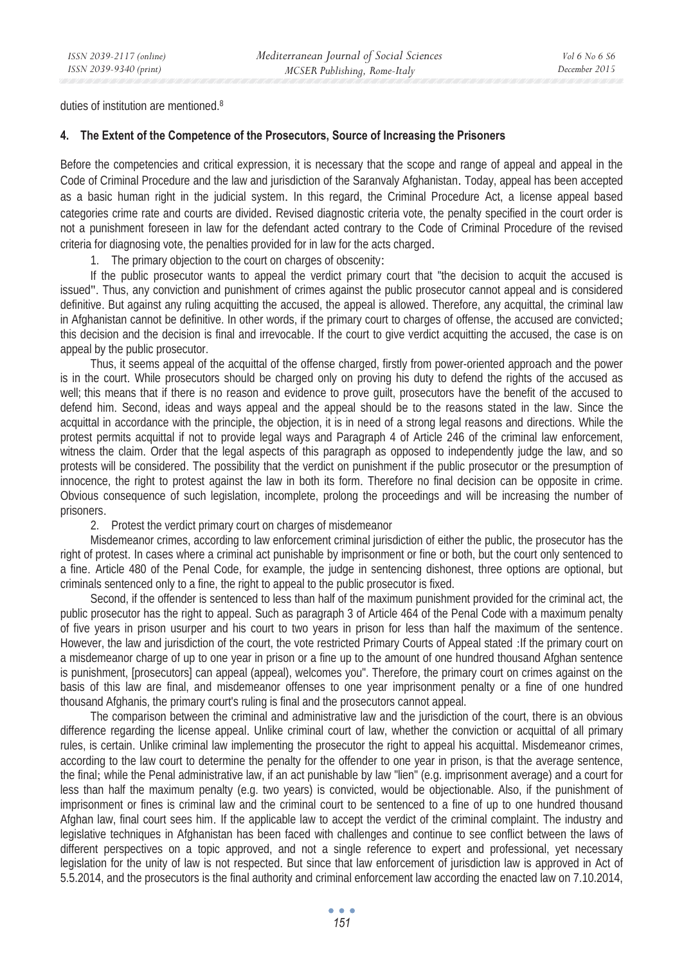duties of institution are mentioned.<sup>8</sup>

### **4. The Extent of the Competence of the Prosecutors, Source of Increasing the Prisoners**

Before the competencies and critical expression, it is necessary that the scope and range of appeal and appeal in the Code of Criminal Procedure and the law and jurisdiction of the Saranvaly Afghanistan. Today, appeal has been accepted as a basic human right in the judicial system. In this regard, the Criminal Procedure Act, a license appeal based categories crime rate and courts are divided. Revised diagnostic criteria vote, the penalty specified in the court order is not a punishment foreseen in law for the defendant acted contrary to the Code of Criminal Procedure of the revised criteria for diagnosing vote, the penalties provided for in law for the acts charged.

1. The primary objection to the court on charges of obscenity:

If the public prosecutor wants to appeal the verdict primary court that "the decision to acquit the accused is issued". Thus, any conviction and punishment of crimes against the public prosecutor cannot appeal and is considered definitive. But against any ruling acquitting the accused, the appeal is allowed. Therefore, any acquittal, the criminal law in Afghanistan cannot be definitive. In other words, if the primary court to charges of offense, the accused are convicted; this decision and the decision is final and irrevocable. If the court to give verdict acquitting the accused, the case is on appeal by the public prosecutor.

Thus, it seems appeal of the acquittal of the offense charged, firstly from power-oriented approach and the power is in the court. While prosecutors should be charged only on proving his duty to defend the rights of the accused as well; this means that if there is no reason and evidence to prove guilt, prosecutors have the benefit of the accused to defend him. Second, ideas and ways appeal and the appeal should be to the reasons stated in the law. Since the acquittal in accordance with the principle, the objection, it is in need of a strong legal reasons and directions. While the protest permits acquittal if not to provide legal ways and Paragraph 4 of Article 246 of the criminal law enforcement, witness the claim. Order that the legal aspects of this paragraph as opposed to independently judge the law, and so protests will be considered. The possibility that the verdict on punishment if the public prosecutor or the presumption of innocence, the right to protest against the law in both its form. Therefore no final decision can be opposite in crime. Obvious consequence of such legislation, incomplete, prolong the proceedings and will be increasing the number of prisoners.

2. Protest the verdict primary court on charges of misdemeanor

Misdemeanor crimes, according to law enforcement criminal jurisdiction of either the public, the prosecutor has the right of protest. In cases where a criminal act punishable by imprisonment or fine or both, but the court only sentenced to a fine. Article 480 of the Penal Code, for example, the judge in sentencing dishonest, three options are optional, but criminals sentenced only to a fine, the right to appeal to the public prosecutor is fixed.

Second, if the offender is sentenced to less than half of the maximum punishment provided for the criminal act, the public prosecutor has the right to appeal. Such as paragraph 3 of Article 464 of the Penal Code with a maximum penalty of five years in prison usurper and his court to two years in prison for less than half the maximum of the sentence. However, the law and jurisdiction of the court, the vote restricted Primary Courts of Appeal stated :If the primary court on a misdemeanor charge of up to one year in prison or a fine up to the amount of one hundred thousand Afghan sentence is punishment, [prosecutors] can appeal (appeal), welcomes you". Therefore, the primary court on crimes against on the basis of this law are final, and misdemeanor offenses to one year imprisonment penalty or a fine of one hundred thousand Afghanis, the primary court's ruling is final and the prosecutors cannot appeal.

The comparison between the criminal and administrative law and the jurisdiction of the court, there is an obvious difference regarding the license appeal. Unlike criminal court of law, whether the conviction or acquittal of all primary rules, is certain. Unlike criminal law implementing the prosecutor the right to appeal his acquittal. Misdemeanor crimes, according to the law court to determine the penalty for the offender to one year in prison, is that the average sentence, the final; while the Penal administrative law, if an act punishable by law "lien" (e.g. imprisonment average) and a court for less than half the maximum penalty (e.g. two years) is convicted, would be objectionable. Also, if the punishment of imprisonment or fines is criminal law and the criminal court to be sentenced to a fine of up to one hundred thousand Afghan law, final court sees him. If the applicable law to accept the verdict of the criminal complaint. The industry and legislative techniques in Afghanistan has been faced with challenges and continue to see conflict between the laws of different perspectives on a topic approved, and not a single reference to expert and professional, yet necessary legislation for the unity of law is not respected. But since that law enforcement of jurisdiction law is approved in Act of 5.5.2014, and the prosecutors is the final authority and criminal enforcement law according the enacted law on 7.10.2014,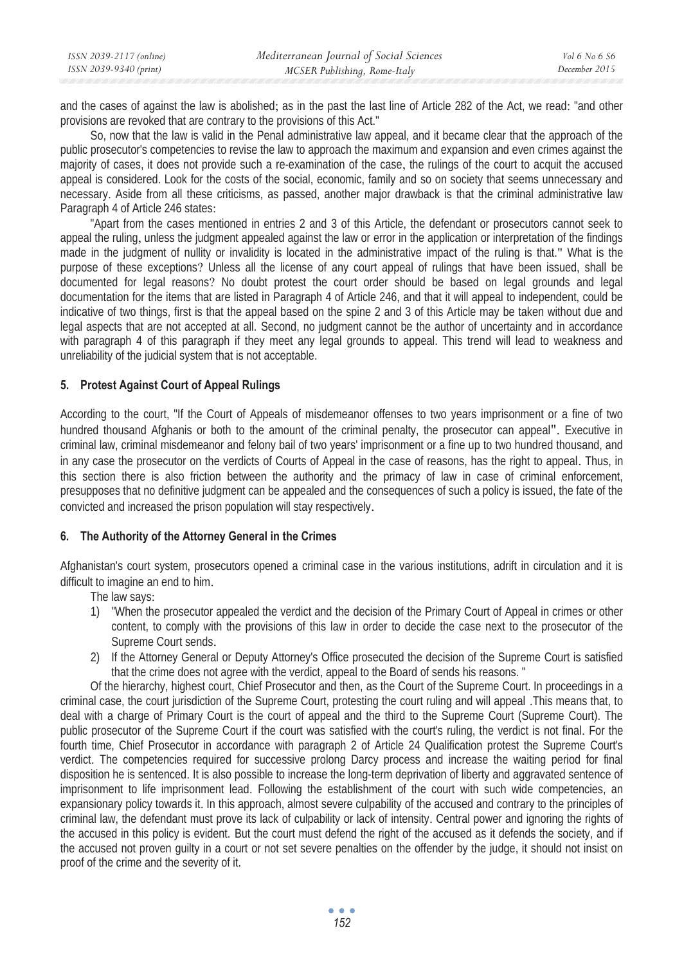| ISSN 2039-2117 (online) | Mediterranean Journal of Social Sciences | Vol 6 No 6 S6 |
|-------------------------|------------------------------------------|---------------|
| ISSN 2039-9340 (print)  | MCSER Publishing, Rome-Italy             | December 2015 |

and the cases of against the law is abolished; as in the past the last line of Article 282 of the Act, we read: "and other provisions are revoked that are contrary to the provisions of this Act."

So, now that the law is valid in the Penal administrative law appeal, and it became clear that the approach of the public prosecutor's competencies to revise the law to approach the maximum and expansion and even crimes against the majority of cases, it does not provide such a re-examination of the case, the rulings of the court to acquit the accused appeal is considered. Look for the costs of the social, economic, family and so on society that seems unnecessary and necessary. Aside from all these criticisms, as passed, another major drawback is that the criminal administrative law Paragraph 4 of Article 246 states:

"Apart from the cases mentioned in entries 2 and 3 of this Article, the defendant or prosecutors cannot seek to appeal the ruling, unless the judgment appealed against the law or error in the application or interpretation of the findings made in the judgment of nullity or invalidity is located in the administrative impact of the ruling is that." What is the purpose of these exceptions? Unless all the license of any court appeal of rulings that have been issued, shall be documented for legal reasons? No doubt protest the court order should be based on legal grounds and legal documentation for the items that are listed in Paragraph 4 of Article 246, and that it will appeal to independent, could be indicative of two things, first is that the appeal based on the spine 2 and 3 of this Article may be taken without due and legal aspects that are not accepted at all. Second, no judgment cannot be the author of uncertainty and in accordance with paragraph 4 of this paragraph if they meet any legal grounds to appeal. This trend will lead to weakness and unreliability of the judicial system that is not acceptable.

### **5. Protest Against Court of Appeal Rulings**

According to the court, "If the Court of Appeals of misdemeanor offenses to two years imprisonment or a fine of two hundred thousand Afghanis or both to the amount of the criminal penalty, the prosecutor can appeal". Executive in criminal law, criminal misdemeanor and felony bail of two years' imprisonment or a fine up to two hundred thousand, and in any case the prosecutor on the verdicts of Courts of Appeal in the case of reasons, has the right to appeal. Thus, in this section there is also friction between the authority and the primacy of law in case of criminal enforcement, presupposes that no definitive judgment can be appealed and the consequences of such a policy is issued, the fate of the convicted and increased the prison population will stay respectively.

### **6. The Authority of the Attorney General in the Crimes**

Afghanistan's court system, prosecutors opened a criminal case in the various institutions, adrift in circulation and it is difficult to imagine an end to him.

The law says:

- 1) "When the prosecutor appealed the verdict and the decision of the Primary Court of Appeal in crimes or other content, to comply with the provisions of this law in order to decide the case next to the prosecutor of the Supreme Court sends.
- 2) If the Attorney General or Deputy Attorney's Office prosecuted the decision of the Supreme Court is satisfied that the crime does not agree with the verdict, appeal to the Board of sends his reasons. "

Of the hierarchy, highest court, Chief Prosecutor and then, as the Court of the Supreme Court. In proceedings in a criminal case, the court jurisdiction of the Supreme Court, protesting the court ruling and will appeal .This means that, to deal with a charge of Primary Court is the court of appeal and the third to the Supreme Court (Supreme Court). The public prosecutor of the Supreme Court if the court was satisfied with the court's ruling, the verdict is not final. For the fourth time, Chief Prosecutor in accordance with paragraph 2 of Article 24 Qualification protest the Supreme Court's verdict. The competencies required for successive prolong Darcy process and increase the waiting period for final disposition he is sentenced. It is also possible to increase the long-term deprivation of liberty and aggravated sentence of imprisonment to life imprisonment lead. Following the establishment of the court with such wide competencies, an expansionary policy towards it. In this approach, almost severe culpability of the accused and contrary to the principles of criminal law, the defendant must prove its lack of culpability or lack of intensity. Central power and ignoring the rights of the accused in this policy is evident. But the court must defend the right of the accused as it defends the society, and if the accused not proven guilty in a court or not set severe penalties on the offender by the judge, it should not insist on proof of the crime and the severity of it.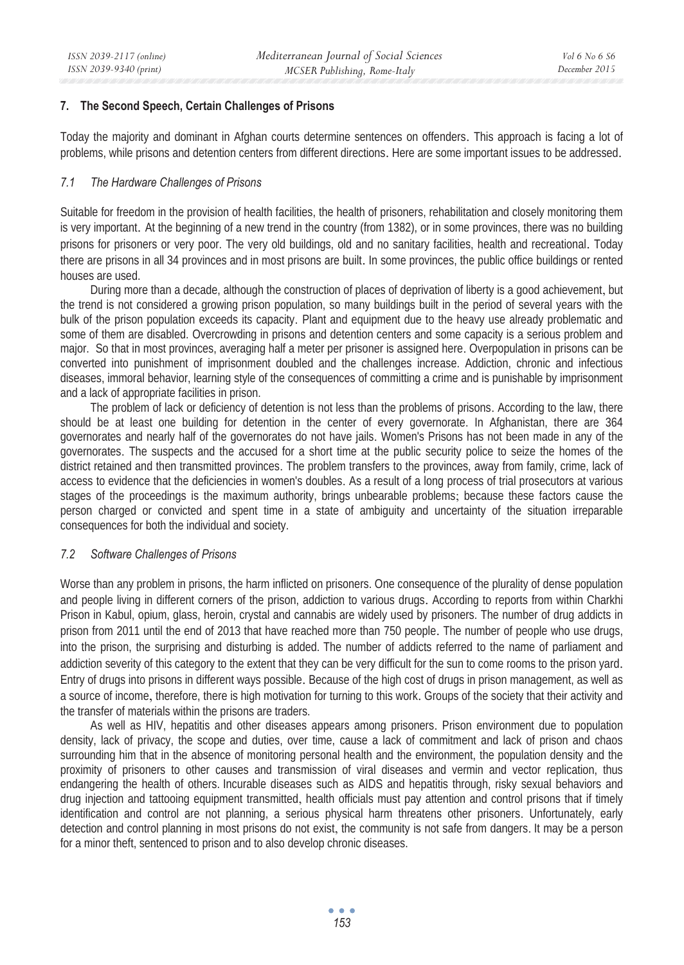### **7. The Second Speech, Certain Challenges of Prisons**

Today the majority and dominant in Afghan courts determine sentences on offenders. This approach is facing a lot of problems, while prisons and detention centers from different directions. Here are some important issues to be addressed.

### *7.1 The Hardware Challenges of Prisons*

Suitable for freedom in the provision of health facilities, the health of prisoners, rehabilitation and closely monitoring them is very important. At the beginning of a new trend in the country (from 1382), or in some provinces, there was no building prisons for prisoners or very poor. The very old buildings, old and no sanitary facilities, health and recreational. Today there are prisons in all 34 provinces and in most prisons are built. In some provinces, the public office buildings or rented houses are used.

During more than a decade, although the construction of places of deprivation of liberty is a good achievement, but the trend is not considered a growing prison population, so many buildings built in the period of several years with the bulk of the prison population exceeds its capacity. Plant and equipment due to the heavy use already problematic and some of them are disabled. Overcrowding in prisons and detention centers and some capacity is a serious problem and major. So that in most provinces, averaging half a meter per prisoner is assigned here. Overpopulation in prisons can be converted into punishment of imprisonment doubled and the challenges increase. Addiction, chronic and infectious diseases, immoral behavior, learning style of the consequences of committing a crime and is punishable by imprisonment and a lack of appropriate facilities in prison.

The problem of lack or deficiency of detention is not less than the problems of prisons. According to the law, there should be at least one building for detention in the center of every governorate. In Afghanistan, there are 364 governorates and nearly half of the governorates do not have jails. Women's Prisons has not been made in any of the governorates. The suspects and the accused for a short time at the public security police to seize the homes of the district retained and then transmitted provinces. The problem transfers to the provinces, away from family, crime, lack of access to evidence that the deficiencies in women's doubles. As a result of a long process of trial prosecutors at various stages of the proceedings is the maximum authority, brings unbearable problems; because these factors cause the person charged or convicted and spent time in a state of ambiguity and uncertainty of the situation irreparable consequences for both the individual and society.

### *7.2 Software Challenges of Prisons*

Worse than any problem in prisons, the harm inflicted on prisoners. One consequence of the plurality of dense population and people living in different corners of the prison, addiction to various drugs. According to reports from within Charkhi Prison in Kabul, opium, glass, heroin, crystal and cannabis are widely used by prisoners. The number of drug addicts in prison from 2011 until the end of 2013 that have reached more than 750 people. The number of people who use drugs, into the prison, the surprising and disturbing is added. The number of addicts referred to the name of parliament and addiction severity of this category to the extent that they can be very difficult for the sun to come rooms to the prison yard. Entry of drugs into prisons in different ways possible. Because of the high cost of drugs in prison management, as well as a source of income, therefore, there is high motivation for turning to this work. Groups of the society that their activity and the transfer of materials within the prisons are traders.

As well as HIV, hepatitis and other diseases appears among prisoners. Prison environment due to population density, lack of privacy, the scope and duties, over time, cause a lack of commitment and lack of prison and chaos surrounding him that in the absence of monitoring personal health and the environment, the population density and the proximity of prisoners to other causes and transmission of viral diseases and vermin and vector replication, thus endangering the health of others. Incurable diseases such as AIDS and hepatitis through, risky sexual behaviors and drug injection and tattooing equipment transmitted, health officials must pay attention and control prisons that if timely identification and control are not planning, a serious physical harm threatens other prisoners. Unfortunately, early detection and control planning in most prisons do not exist, the community is not safe from dangers. It may be a person for a minor theft, sentenced to prison and to also develop chronic diseases.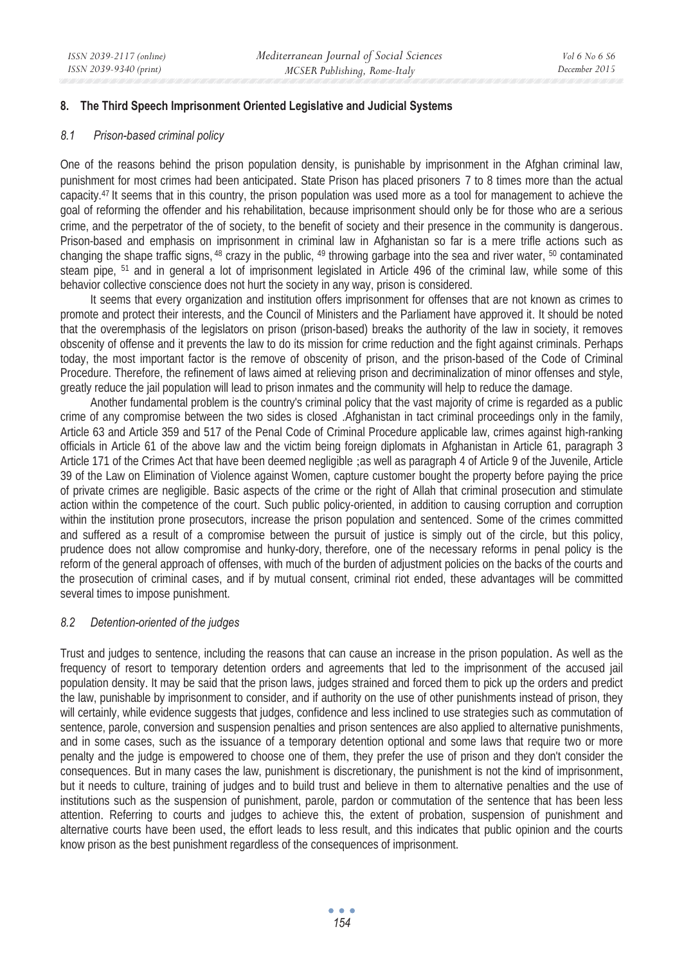### **8. The Third Speech Imprisonment Oriented Legislative and Judicial Systems**

#### *8.1 Prison-based criminal policy*

One of the reasons behind the prison population density, is punishable by imprisonment in the Afghan criminal law, punishment for most crimes had been anticipated. State Prison has placed prisoners 7 to 8 times more than the actual capacity.47 It seems that in this country, the prison population was used more as a tool for management to achieve the goal of reforming the offender and his rehabilitation, because imprisonment should only be for those who are a serious crime, and the perpetrator of the of society, to the benefit of society and their presence in the community is dangerous. Prison-based and emphasis on imprisonment in criminal law in Afghanistan so far is a mere trifle actions such as changing the shape traffic signs,  $48$  crazy in the public,  $49$  throwing garbage into the sea and river water,  $50$  contaminated steam pipe, <sup>51</sup> and in general a lot of imprisonment legislated in Article 496 of the criminal law, while some of this behavior collective conscience does not hurt the society in any way, prison is considered.

It seems that every organization and institution offers imprisonment for offenses that are not known as crimes to promote and protect their interests, and the Council of Ministers and the Parliament have approved it. It should be noted that the overemphasis of the legislators on prison (prison-based) breaks the authority of the law in society, it removes obscenity of offense and it prevents the law to do its mission for crime reduction and the fight against criminals. Perhaps today, the most important factor is the remove of obscenity of prison, and the prison-based of the Code of Criminal Procedure. Therefore, the refinement of laws aimed at relieving prison and decriminalization of minor offenses and style, greatly reduce the jail population will lead to prison inmates and the community will help to reduce the damage.

Another fundamental problem is the country's criminal policy that the vast majority of crime is regarded as a public crime of any compromise between the two sides is closed .Afghanistan in tact criminal proceedings only in the family, Article 63 and Article 359 and 517 of the Penal Code of Criminal Procedure applicable law, crimes against high-ranking officials in Article 61 of the above law and the victim being foreign diplomats in Afghanistan in Article 61, paragraph 3 Article 171 of the Crimes Act that have been deemed negligible ;as well as paragraph 4 of Article 9 of the Juvenile, Article 39 of the Law on Elimination of Violence against Women, capture customer bought the property before paying the price of private crimes are negligible. Basic aspects of the crime or the right of Allah that criminal prosecution and stimulate action within the competence of the court. Such public policy-oriented, in addition to causing corruption and corruption within the institution prone prosecutors, increase the prison population and sentenced. Some of the crimes committed and suffered as a result of a compromise between the pursuit of justice is simply out of the circle, but this policy, prudence does not allow compromise and hunky-dory, therefore, one of the necessary reforms in penal policy is the reform of the general approach of offenses, with much of the burden of adjustment policies on the backs of the courts and the prosecution of criminal cases, and if by mutual consent, criminal riot ended, these advantages will be committed several times to impose punishment.

### *8.2 Detention-oriented of the judges*

Trust and judges to sentence, including the reasons that can cause an increase in the prison population. As well as the frequency of resort to temporary detention orders and agreements that led to the imprisonment of the accused jail population density. It may be said that the prison laws, judges strained and forced them to pick up the orders and predict the law, punishable by imprisonment to consider, and if authority on the use of other punishments instead of prison, they will certainly, while evidence suggests that judges, confidence and less inclined to use strategies such as commutation of sentence, parole, conversion and suspension penalties and prison sentences are also applied to alternative punishments, and in some cases, such as the issuance of a temporary detention optional and some laws that require two or more penalty and the judge is empowered to choose one of them, they prefer the use of prison and they don't consider the consequences. But in many cases the law, punishment is discretionary, the punishment is not the kind of imprisonment, but it needs to culture, training of judges and to build trust and believe in them to alternative penalties and the use of institutions such as the suspension of punishment, parole, pardon or commutation of the sentence that has been less attention. Referring to courts and judges to achieve this, the extent of probation, suspension of punishment and alternative courts have been used, the effort leads to less result, and this indicates that public opinion and the courts know prison as the best punishment regardless of the consequences of imprisonment.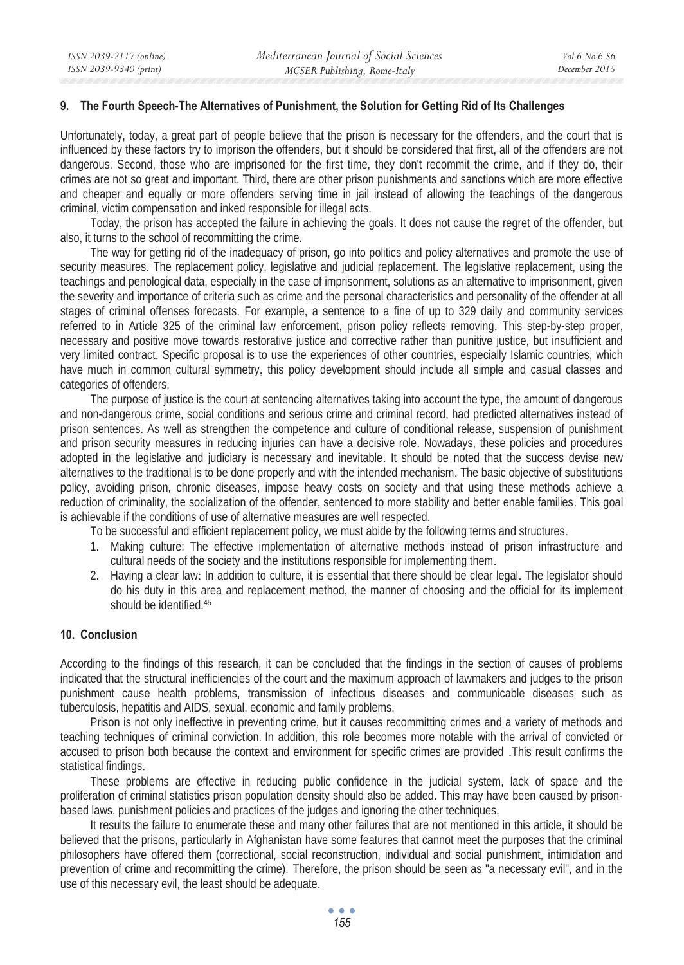### **9. The Fourth Speech-The Alternatives of Punishment, the Solution for Getting Rid of Its Challenges**

Unfortunately, today, a great part of people believe that the prison is necessary for the offenders, and the court that is influenced by these factors try to imprison the offenders, but it should be considered that first, all of the offenders are not dangerous. Second, those who are imprisoned for the first time, they don't recommit the crime, and if they do, their crimes are not so great and important. Third, there are other prison punishments and sanctions which are more effective and cheaper and equally or more offenders serving time in jail instead of allowing the teachings of the dangerous criminal, victim compensation and inked responsible for illegal acts.

Today, the prison has accepted the failure in achieving the goals. It does not cause the regret of the offender, but also, it turns to the school of recommitting the crime.

The way for getting rid of the inadequacy of prison, go into politics and policy alternatives and promote the use of security measures. The replacement policy, legislative and judicial replacement. The legislative replacement, using the teachings and penological data, especially in the case of imprisonment, solutions as an alternative to imprisonment, given the severity and importance of criteria such as crime and the personal characteristics and personality of the offender at all stages of criminal offenses forecasts. For example, a sentence to a fine of up to 329 daily and community services referred to in Article 325 of the criminal law enforcement, prison policy reflects removing. This step-by-step proper, necessary and positive move towards restorative justice and corrective rather than punitive justice, but insufficient and very limited contract. Specific proposal is to use the experiences of other countries, especially Islamic countries, which have much in common cultural symmetry, this policy development should include all simple and casual classes and categories of offenders.

The purpose of justice is the court at sentencing alternatives taking into account the type, the amount of dangerous and non-dangerous crime, social conditions and serious crime and criminal record, had predicted alternatives instead of prison sentences. As well as strengthen the competence and culture of conditional release, suspension of punishment and prison security measures in reducing injuries can have a decisive role. Nowadays, these policies and procedures adopted in the legislative and judiciary is necessary and inevitable. It should be noted that the success devise new alternatives to the traditional is to be done properly and with the intended mechanism. The basic objective of substitutions policy, avoiding prison, chronic diseases, impose heavy costs on society and that using these methods achieve a reduction of criminality, the socialization of the offender, sentenced to more stability and better enable families. This goal is achievable if the conditions of use of alternative measures are well respected.

To be successful and efficient replacement policy, we must abide by the following terms and structures.

- 1. Making culture: The effective implementation of alternative methods instead of prison infrastructure and cultural needs of the society and the institutions responsible for implementing them.
- 2. Having a clear law: In addition to culture, it is essential that there should be clear legal. The legislator should do his duty in this area and replacement method, the manner of choosing and the official for its implement should be identified.45

### **10. Conclusion**

According to the findings of this research, it can be concluded that the findings in the section of causes of problems indicated that the structural inefficiencies of the court and the maximum approach of lawmakers and judges to the prison punishment cause health problems, transmission of infectious diseases and communicable diseases such as tuberculosis, hepatitis and AIDS, sexual, economic and family problems.

Prison is not only ineffective in preventing crime, but it causes recommitting crimes and a variety of methods and teaching techniques of criminal conviction. In addition, this role becomes more notable with the arrival of convicted or accused to prison both because the context and environment for specific crimes are provided .This result confirms the statistical findings.

These problems are effective in reducing public confidence in the judicial system, lack of space and the proliferation of criminal statistics prison population density should also be added. This may have been caused by prisonbased laws, punishment policies and practices of the judges and ignoring the other techniques.

It results the failure to enumerate these and many other failures that are not mentioned in this article, it should be believed that the prisons, particularly in Afghanistan have some features that cannot meet the purposes that the criminal philosophers have offered them (correctional, social reconstruction, individual and social punishment, intimidation and prevention of crime and recommitting the crime). Therefore, the prison should be seen as "a necessary evil", and in the use of this necessary evil, the least should be adequate.